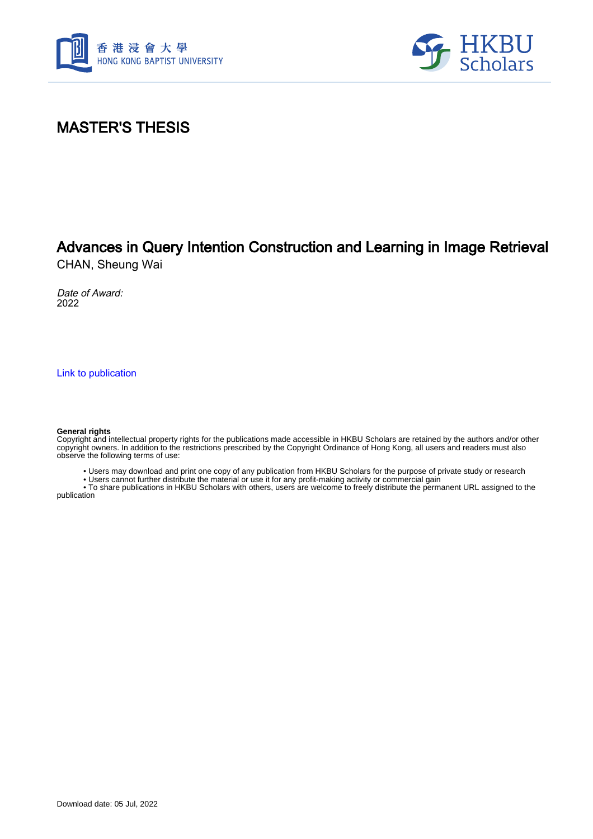



## MASTER'S THESIS

## Advances in Query Intention Construction and Learning in Image Retrieval

CHAN, Sheung Wai

Date of Award: 2022

[Link to publication](https://scholars.hkbu.edu.hk/en/studentTheses/1404f699-9627-457c-8ca5-7e0da1cbfe4f)

## **General rights**

Copyright and intellectual property rights for the publications made accessible in HKBU Scholars are retained by the authors and/or other copyright owners. In addition to the restrictions prescribed by the Copyright Ordinance of Hong Kong, all users and readers must also observe the following terms of use:

• Users may download and print one copy of any publication from HKBU Scholars for the purpose of private study or research

• Users cannot further distribute the material or use it for any profit-making activity or commercial gain

 • To share publications in HKBU Scholars with others, users are welcome to freely distribute the permanent URL assigned to the publication